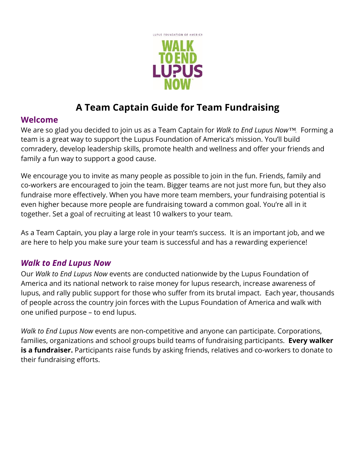

# **A Team Captain Guide for Team Fundraising**

### **Welcome**

We are so glad you decided to join us as a Team Captain for *Walk to End Lupus Now™.* Forming a team is a great way to support the Lupus Foundation of America's mission. You'll build comradery, develop leadership skills, promote health and wellness and offer your friends and family a fun way to support a good cause.

We encourage you to invite as many people as possible to join in the fun. Friends, family and co-workers are encouraged to join the team. Bigger teams are not just more fun, but they also fundraise more effectively. When you have more team members, your fundraising potential is even higher because more people are fundraising toward a common goal. You're all in it together. Set a goal of recruiting at least 10 walkers to your team.

As a Team Captain, you play a large role in your team's success. It is an important job, and we are here to help you make sure your team is successful and has a rewarding experience!

## *Walk to End Lupus Now*

Our *Walk to End Lupus Now* events are conducted nationwide by the Lupus Foundation of America and its national network to raise money for lupus research, increase awareness of lupus, and rally public support for those who suffer from its brutal impact. Each year, thousands of people across the country join forces with the Lupus Foundation of America and walk with one unified purpose – to end lupus.

*Walk to End Lupus Now* events are non-competitive and anyone can participate. Corporations, families, organizations and school groups build teams of fundraising participants. **Every walker is a fundraiser.** Participants raise funds by asking friends, relatives and co-workers to donate to their fundraising efforts.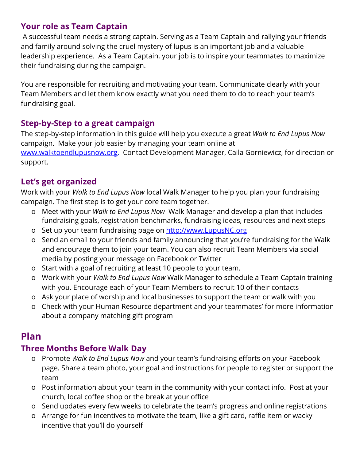## **Your role as Team Captain**

 A successful team needs a strong captain. Serving as a Team Captain and rallying your friends and family around solving the cruel mystery of lupus is an important job and a valuable leadership experience. As a Team Captain, your job is to inspire your teammates to maximize their fundraising during the campaign.

You are responsible for recruiting and motivating your team. Communicate clearly with your Team Members and let them know exactly what you need them to do to reach your team's fundraising goal.

## **Step-by-Step to a great campaign**

The step-by-step information in this guide will help you execute a great *Walk to End Lupus Now* campaign. Make your job easier by managing your team online at [www.walktoendlupusnow.org](http://www.walktoendlupusnow.org/). Contact Development Manager, Caila Gorniewicz, for direction or support.

### **Let's get organized**

Work with your *Walk to End Lupus Now* local Walk Manager to help you plan your fundraising campaign. The first step is to get your core team together.

- o Meet with your *Walk to End Lupus Now* Walk Manager and develop a plan that includes fundraising goals, registration benchmarks, fundraising ideas, resources and next steps
- o Set up your team fundraising page on [http://www.LupusNC.org](http://www.lupusnc.org/)
- o Send an email to your friends and family announcing that you're fundraising for the Walk and encourage them to join your team. You can also recruit Team Members via social media by posting your message on Facebook or Twitter
- o Start with a goal of recruiting at least 10 people to your team.
- o Work with your *Walk to End Lupus Now* Walk Manager to schedule a Team Captain training with you. Encourage each of your Team Members to recruit 10 of their contacts
- o Ask your place of worship and local businesses to support the team or walk with you
- o Check with your Human Resource department and your teammates' for more information about a company matching gift program

## **Plan**

## **Three Months Before Walk Day**

- o Promote *Walk to End Lupus Now* and your team's fundraising efforts on your Facebook page. Share a team photo, your goal and instructions for people to register or support the team
- o Post information about your team in the community with your contact info. Post at your church, local coffee shop or the break at your office
- o Send updates every few weeks to celebrate the team's progress and online registrations
- o Arrange for fun incentives to motivate the team, like a gift card, raffle item or wacky incentive that you'll do yourself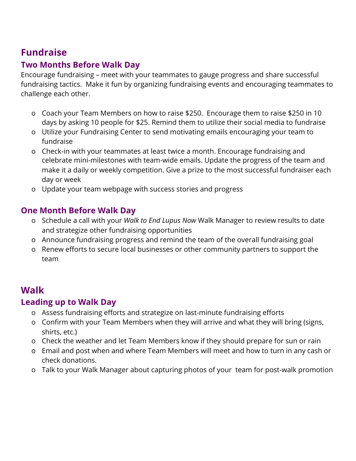## **Fundraise**

## **Two Months Before Walk Day**

Encourage fundraising – meet with your teammates to gauge progress and share successful fundraising tactics. Make it fun by organizing fundraising events and encouraging teammates to challenge each other.

- o Coach your Team Members on how to raise \$250. Encourage them to raise \$250 in 10 days by asking 10 people for \$25. Remind them to utilize their social media to fundraise
- o Utilize your Fundraising Center to send motivating emails encouraging your team to fundraise
- o Check-in with your teammates at least twice a month. Encourage fundraising and celebrate mini-milestones with team-wide emails. Update the progress of the team and make it a daily or weekly competition. Give a prize to the most successful fundraiser each day or week
- o Update your team webpage with success stories and progress

### **One Month Before Walk Day**

- o Schedule a call with your *Walk to End Lupus Now* Walk Manager to review results to date and strategize other fundraising opportunities
- o Announce fundraising progress and remind the team of the overall fundraising goal
- o Renew efforts to secure local businesses or other community partners to support the team

## **Walk**

#### **Leading up to Walk Day**

- o Assess fundraising efforts and strategize on last-minute fundraising efforts
- o Confirm with your Team Members when they will arrive and what they will bring (signs, shirts, etc.)
- o Check the weather and let Team Members know if they should prepare for sun or rain
- o Email and post when and where Team Members will meet and how to turn in any cash or check donations.
- o Talk to your Walk Manager about capturing photos of your team for post-walk promotion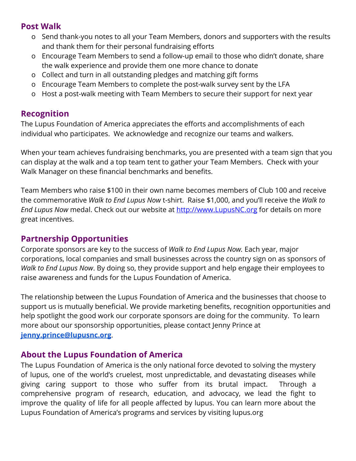### **Post Walk**

- o Send thank-you notes to all your Team Members, donors and supporters with the results and thank them for their personal fundraising efforts
- o Encourage Team Members to send a follow-up email to those who didn't donate, share the walk experience and provide them one more chance to donate
- o Collect and turn in all outstanding pledges and matching gift forms
- o Encourage Team Members to complete the post-walk survey sent by the LFA
- o Host a post-walk meeting with Team Members to secure their support for next year

#### **Recognition**

The Lupus Foundation of America appreciates the efforts and accomplishments of each individual who participates. We acknowledge and recognize our teams and walkers.

When your team achieves fundraising benchmarks, you are presented with a team sign that you can display at the walk and a top team tent to gather your Team Members. Check with your Walk Manager on these financial benchmarks and benefits.

Team Members who raise \$100 in their own name becomes members of Club 100 and receive the commemorative *Walk to End Lupus Now* t-shirt. Raise \$1,000, and you'll receive the *Walk to End Lupus Now* medal.Check out our website at [http://www.LupusNC.org](http://www.lupusnc.org/) for details on more great incentives.

#### **Partnership Opportunities**

Corporate sponsors are key to the success of *Walk to End Lupus Now.* Each year, major corporations, local companies and small businesses across the country sign on as sponsors of *Walk to End Lupus Now*. By doing so, they provide support and help engage their employees to raise awareness and funds for the Lupus Foundation of America.

The relationship between the Lupus Foundation of America and the businesses that choose to support us is mutually beneficial. We provide marketing benefits, recognition opportunities and help spotlight the good work our corporate sponsors are doing for the community. To learn more about our sponsorship opportunities, please contact Jenny Prince at **[jenny.prince@lupusnc.org](mailto:jenny.prince@lupusnc.org)**.

#### **About the Lupus Foundation of America**

The Lupus Foundation of America is the only national force devoted to solving the mystery of lupus, one of the world's cruelest, most unpredictable, and devastating diseases while giving caring support to those who suffer from its brutal impact. Through a comprehensive program of research, education, and advocacy, we lead the fight to improve the quality of life for all people affected by lupus. You can learn more about the Lupus Foundation of America's programs and services by visiting lupus.org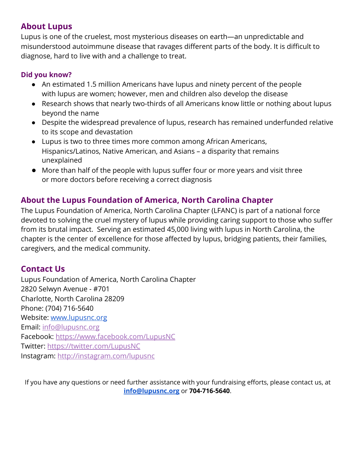### **About Lupus**

Lupus is one of the cruelest, most mysterious diseases on earth—an unpredictable and misunderstood autoimmune disease that ravages different parts of the body. It is difficult to diagnose, hard to live with and a challenge to treat.

#### **Did you know?**

- An estimated 1.5 million Americans have lupus and ninety percent of the people with lupus are women; however, men and children also develop the disease
- Research shows that nearly two-thirds of all Americans know little or nothing about lupus beyond the name
- Despite the widespread prevalence of lupus, research has remained underfunded relative to its scope and devastation
- Lupus is two to three times more common among African Americans, Hispanics/Latinos, Native American, and Asians – a disparity that remains unexplained
- More than half of the people with lupus suffer four or more years and visit three or more doctors before receiving a correct diagnosis

### **About the Lupus Foundation of America, North Carolina Chapter**

The Lupus Foundation of America, North Carolina Chapter (LFANC) is part of a national force devoted to solving the cruel mystery of lupus while providing caring support to those who suffer from its brutal impact. Serving an estimated 45,000 living with lupus in North Carolina, the chapter is the center of excellence for those affected by lupus, bridging patients, their families, caregivers, and the medical community.

#### **Contact Us**

Lupus Foundation of America, North Carolina Chapter 2820 Selwyn Avenue - #701 Charlotte, North Carolina 28209 Phone: (704) 716-5640 Website: [www.lupusnc.org](http://www.lupusnc.org/) Email: [info@lupusnc.org](mailto:info@lupusnc.org) Facebook: <https://www.facebook.com/LupusNC> Twitter: <https://twitter.com/LupusNC> Instagram: <http://instagram.com/lupusnc>

If you have any questions or need further assistance with your fundraising efforts, please contact us, at **[info@lupusnc.org](mailto:info@lupusnc.org)** or **704-716-5640**.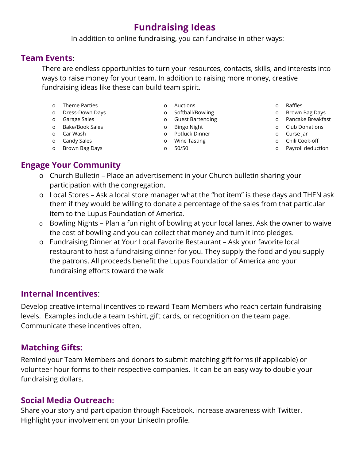## **Fundraising Ideas**

In addition to online fundraising, you can fundraise in other ways:

#### **Team Events**:

There are endless opportunities to turn your resources, contacts, skills, and interests into ways to raise money for your team. In addition to raising more money, creative fundraising ideas like these can build team spirit.

- o Theme Parties
- o Dress-Down Days
- o Garage Sales
- o Bake/Book Sales
- o Car Wash
- o Candy Sales
- o Brown Bag Days
- o Auctions
- o Softball/Bowling
- o Guest Bartending
- o Bingo Night
- o Potluck Dinner
- o Wine Tasting
- o 50/50
- o Raffles
- o Brown Bag Days
- o Pancake Breakfast
- o Club Donations
- o Curse Jar
- o Chili Cook-off
- o Payroll deduction

## **Engage Your Community**

- o Church Bulletin Place an advertisement in your Church bulletin sharing your participation with the congregation.
- o Local Stores Ask a local store manager what the "hot item" is these days and THEN ask them if they would be willing to donate a percentage of the sales from that particular item to the Lupus Foundation of America.
- o Bowling Nights Plan a fun night of bowling at your local lanes. Ask the owner to waive the cost of bowling and you can collect that money and turn it into pledges.
- o Fundraising Dinner at Your Local Favorite Restaurant Ask your favorite local restaurant to host a fundraising dinner for you. They supply the food and you supply the patrons. All proceeds benefit the Lupus Foundation of America and your fundraising efforts toward the walk

#### **Internal Incentives**:

Develop creative internal incentives to reward Team Members who reach certain fundraising levels. Examples include a team t-shirt, gift cards, or recognition on the team page. Communicate these incentives often.

## **Matching Gifts:**

Remind your Team Members and donors to submit matching gift forms (if applicable) or volunteer hour forms to their respective companies. It can be an easy way to double your fundraising dollars.

#### **Social Media Outreach:**

Share your story and participation through Facebook, increase awareness with Twitter. Highlight your involvement on your LinkedIn profile.